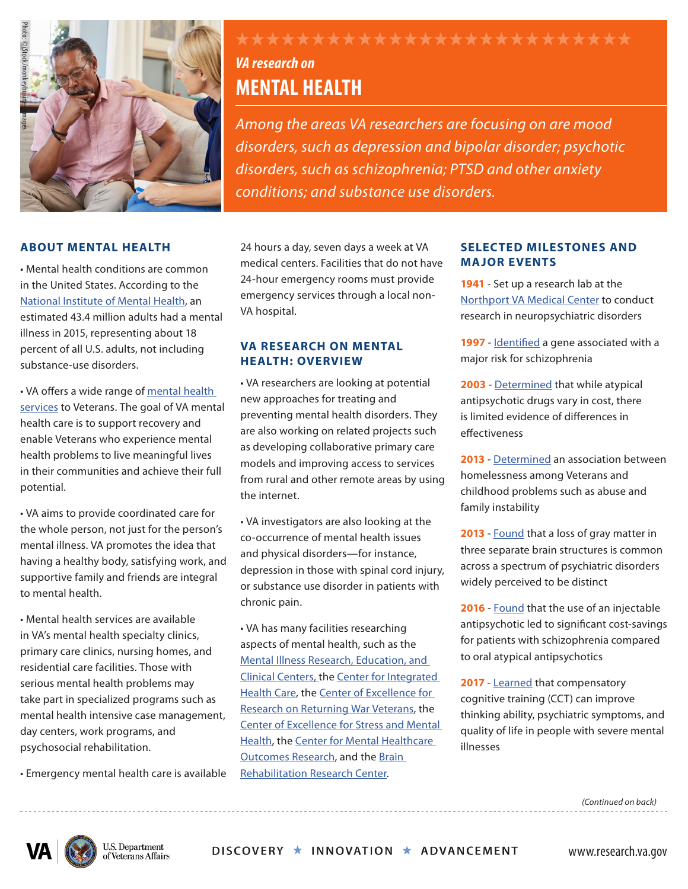

#### **ABOUT MENTAL HEALTH**

• Mental health conditions are common in the United States. According to the [National Institute of Mental Health,](https://www.nimh.nih.gov/health/statistics/mental-illness.shtml) an estimated 43.4 million adults had a mental illness in 2015, representing about 18 percent of all U.S. adults, not including substance-use disorders.

• VA offers a wide range of [mental health](https://www.mentalhealth.va.gov/) [services](https://www.mentalhealth.va.gov/) to Veterans. The goal of VA mental health care is to support recovery and enable Veterans who experience mental health problems to live meaningful lives in their communities and achieve their full potential.

• VA aims to provide coordinated care for the whole person, not just for the person's mental illness. VA promotes the idea that having a healthy body, satisfying work, and supportive family and friends are integral to mental health.

• Mental health services are available in VA's mental health specialty clinics, primary care clinics, nursing homes, and residential care facilities. Those with serious mental health problems may take part in specialized programs such as mental health intensive case management, day centers, work programs, and psychosocial rehabilitation.

• Emergency mental health care is available

# *VA research on*

## **MENTAL HEALTH**

*Among the areas VA researchers are focusing on are mood disorders, such as depression and bipolar disorder; psychotic disorders, such as schizophrenia; PTSD and other anxiety conditions; and substance use disorders.* 

24 hours a day, seven days a week at VA medical centers. Facilities that do not have 24-hour emergency rooms must provide emergency services through a local non-VA hospital.

#### **VA RESEARCH ON MENTAL HEALTH: OVERVIEW**

• VA researchers are looking at potential new approaches for treating and preventing mental health disorders. They are also working on related projects such as developing collaborative primary care models and improving access to services from rural and other remote areas by using the internet.

• VA investigators are also looking at the co-occurrence of mental health issues and physical disorders—for instance, depression in those with spinal cord injury, or substance use disorder in patients with chronic pain.

• VA has many facilities researching aspects of mental health, such as the [Mental Illness Research,](http://www.mirecc.va.gov/) [Education, and](http://www.mirecc.va.gov/) [Clinical Centers](http://www.mirecc.va.gov/), the [Center for Integrated](https://www.mirecc.va.gov/cih-visn2/index.asp) [Health Care,](https://www.mirecc.va.gov/cih-visn2/index.asp) the [Center of Excellence for](https://www.mirecc.va.gov/cih-visn2/index.asp) [Research on Returning War Veterans](https://www.mirecc.va.gov/cih-visn2/index.asp), the [Center of Excellence for Stress and Mental](https://www.mirecc.va.gov/cesamh/index.asp) [Health](https://www.mirecc.va.gov/cesamh/index.asp), the [Center for Mental Healthcare](https://www.hsrd.research.va.gov/centers/cemhor.cfm) [Outcomes Research](https://www.hsrd.research.va.gov/centers/cemhor.cfm), and the [Brain](https://www.brrc.research.va.gov/) [Rehabilitation Research Center](https://www.brrc.research.va.gov/).

#### **SELECTED MILESTONES AND MAJOR EVENTS**

**1941** - Set up a research lab at the [Northport VA Medical Center](https://www.northport.va.gov/) to conduct research in neuropsychiatric disorders

**1997** - [Identified](http://www.ncbi.nlm.nih.gov/pubmed/9012828) a gene associated with a major risk for schizophrenia

**2003** - [Determined](http://www.ncbi.nlm.nih.gov/pubmed/15224448) that while atypical antipsychotic drugs vary in cost, there is limited evidence of differences in effectiveness

**2013** - [Determined](http://www.ncbi.nlm.nih.gov/pubmed/22797134) an association between homelessness among Veterans and childhood problems such as abuse and family instability

**2013** - [Found](http://www.ncbi.nlm.nih.gov/pubmed/25651064) that a loss of gray matter in three separate brain structures is common across a spectrum of psychiatric disorders widely perceived to be distinct

**2016** - [Found](https://www.research.va.gov/currents/0916-6.cfm) that the use of an injectable antipsychotic led to significant cost-savings for patients with schizophrenia compared to oral atypical antipsychotics

**2017** - [Learned](https://www.ncbi.nlm.nih.gov/pubmed/28823720) that compensatory cognitive training (CCT) can improve thinking ability, psychiatric symptoms, and quality of life in people with severe mental illnesses

*(Continued on back)*